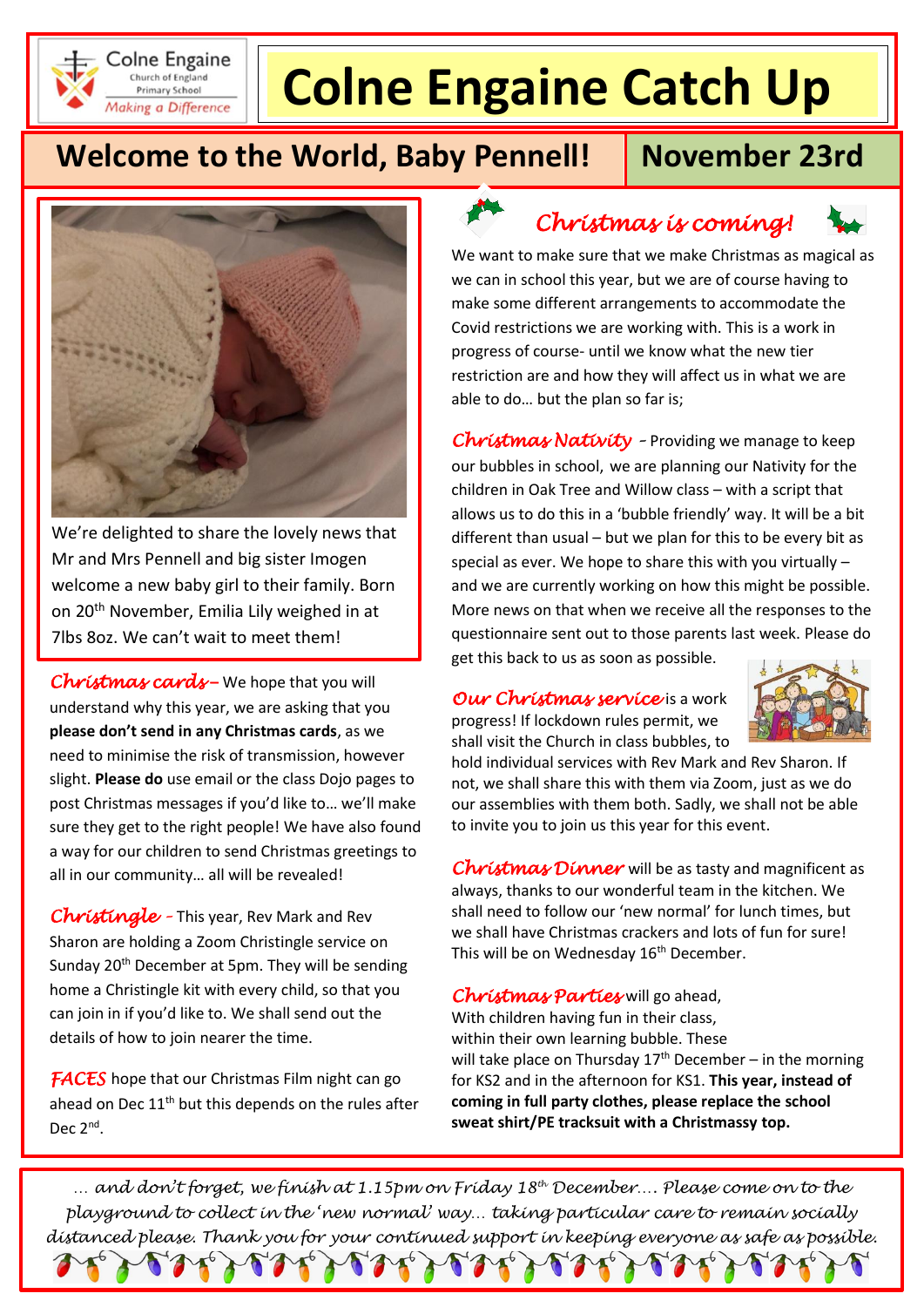

# **Colne Engaine Catch Up**

## **Welcome to the World, Baby Pennell!** November 23rd



We're delighted to share the lovely news that Mr and Mrs Pennell and big sister Imogen welcome a new baby girl to their family. Born on 20th November, Emilia Lily weighed in at 7lbs 8oz. We can't wait to meet them!

*Christmas cards* **–** We hope that you will understand why this year, we are asking that you **please don't send in any Christmas cards**, as we need to minimise the risk of transmission, however slight. **Please do** use email or the class Dojo pages to post Christmas messages if you'd like to… we'll make sure they get to the right people! We have also found a way for our children to send Christmas greetings to all in our community… all will be revealed!

*Christingle –* This year, Rev Mark and Rev Sharon are holding a Zoom Christingle service on Sunday 20<sup>th</sup> December at 5pm. They will be sending home a Christingle kit with every child, so that you can join in if you'd like to. We shall send out the details of how to join nearer the time.

**FACES** hope that our Christmas Film night can go ahead on Dec 11<sup>th</sup> but this depends on the rules after Dec  $2^{\text{nd}}$ .

*Christmas is coming!* 



Covid restrictions we are working with. This is a work in progress of course- until we know what the new tier restriction are and how they will affect us in what we are able to do… but the plan so far is;

*Christmas Nativity –* Providing we manage to keep our bubbles in school, we are planning our Nativity for the children in Oak Tree and Willow class – with a script that allows us to do this in a 'bubble friendly' way. It will be a bit different than usual – but we plan for this to be every bit as special as ever. We hope to share this with you virtually – and we are currently working on how this might be possible. More news on that when we receive all the responses to the questionnaire sent out to those parents last week. Please do get this back to us as soon as possible.

*Our Christmas service* is a work progress! If lockdown rules permit, we shall visit the Church in class bubbles, to



hold individual services with Rev Mark and Rev Sharon. If not, we shall share this with them via Zoom, just as we do our assemblies with them both. Sadly, we shall not be able to invite you to join us this year for this event.

*Christmas Dinner* will be as tasty and magnificent as always, thanks to our wonderful team in the kitchen. We shall need to follow our 'new normal' for lunch times, but we shall have Christmas crackers and lots of fun for sure! This will be on Wednesday 16<sup>th</sup> December.

#### *Christmas Parties* will go ahead,

With children having fun in their class, within their own learning bubble. These will take place on Thursday  $17<sup>th</sup>$  December – in the morning for KS2 and in the afternoon for KS1. **This year, instead of coming in full party clothes, please replace the school sweat shirt/PE tracksuit with a Christmassy top.** 

*… and don't forget, we finish at 1.15pm on Friday 18th December…. Please come on to the playground to collect in the 'new normal' way… taking particular care to remain socially distanced please. Thank you for your continued support in keeping everyone as safe as possible.*